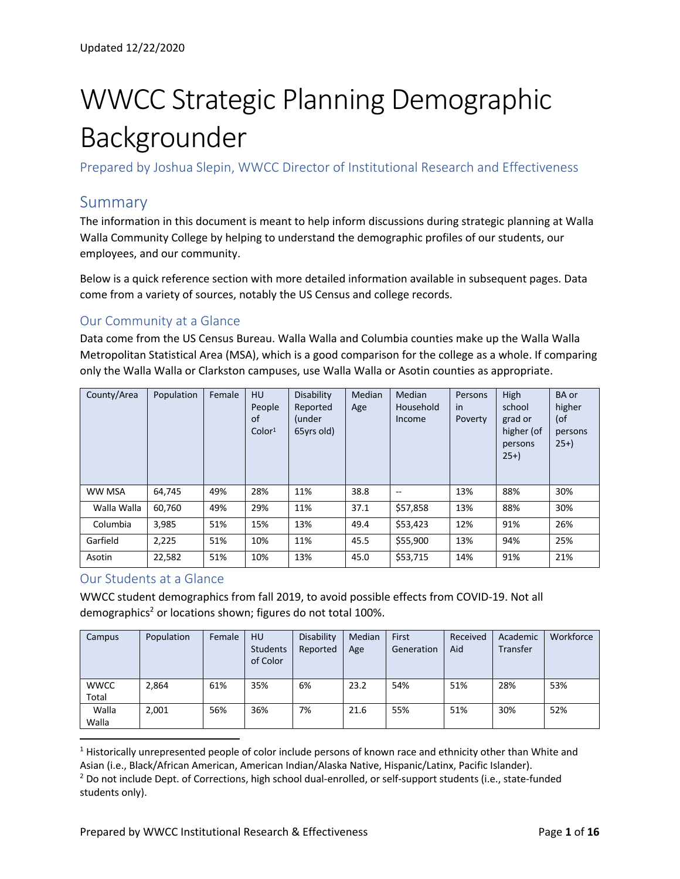# WWCC Strategic Planning Demographic Backgrounder

Prepared by Joshua Slepin, WWCC Director of Institutional Research and Effectiveness

#### Summary

The information in this document is meant to help inform discussions during strategic planning at Walla Walla Community College by helping to understand the demographic profiles of our students, our employees, and our community.

Below is a quick reference section with more detailed information available in subsequent pages. Data come from a variety of sources, notably the US Census and college records.

#### Our Community at a Glance

Data come from the US Census Bureau. Walla Walla and Columbia counties make up the Walla Walla Metropolitan Statistical Area (MSA), which is a good comparison for the college as a whole. If comparing only the Walla Walla or Clarkston campuses, use Walla Walla or Asotin counties as appropriate.

| County/Area | Population | Female | <b>HU</b><br>People<br>0f<br>Color <sup>1</sup> | Disability<br>Reported<br>(under<br>65yrs old) | Median<br>Age | Median<br>Household<br>Income | Persons<br>in<br>Poverty | High<br>school<br>grad or<br>higher (of<br>persons<br>$25+$ | <b>BA</b> or<br>higher<br>(of<br>persons<br>$25+$ |
|-------------|------------|--------|-------------------------------------------------|------------------------------------------------|---------------|-------------------------------|--------------------------|-------------------------------------------------------------|---------------------------------------------------|
| WW MSA      | 64,745     | 49%    | 28%                                             | 11%                                            | 38.8          | --                            | 13%                      | 88%                                                         | 30%                                               |
| Walla Walla | 60,760     | 49%    | 29%                                             | 11%                                            | 37.1          | \$57,858                      | 13%                      | 88%                                                         | 30%                                               |
| Columbia    | 3,985      | 51%    | 15%                                             | 13%                                            | 49.4          | \$53,423                      | 12%                      | 91%                                                         | 26%                                               |
| Garfield    | 2,225      | 51%    | 10%                                             | 11%                                            | 45.5          | \$55,900                      | 13%                      | 94%                                                         | 25%                                               |
| Asotin      | 22,582     | 51%    | 10%                                             | 13%                                            | 45.0          | \$53,715                      | 14%                      | 91%                                                         | 21%                                               |

#### Our Students at a Glance

WWCC student demographics from fall 2019, to avoid possible effects from COVID-19. Not all demographics<sup>2</sup> or locations shown; figures do not total 100%.

| Campus               | Population | Female | <b>HU</b><br>Students<br>of Color | Disability<br>Reported | Median<br>Age | First<br>Generation | Received<br>Aid | Academic<br>Transfer | Workforce |
|----------------------|------------|--------|-----------------------------------|------------------------|---------------|---------------------|-----------------|----------------------|-----------|
| <b>WWCC</b><br>Total | 2,864      | 61%    | 35%                               | 6%                     | 23.2          | 54%                 | 51%             | 28%                  | 53%       |
| Walla<br>Walla       | 2,001      | 56%    | 36%                               | 7%                     | 21.6          | 55%                 | 51%             | 30%                  | 52%       |

<sup>1</sup> Historically unrepresented people of color include persons of known race and ethnicity other than White and Asian (i.e., Black/African American, American Indian/Alaska Native, Hispanic/Latinx, Pacific Islander).

<sup>&</sup>lt;sup>2</sup> Do not include Dept. of Corrections, high school dual-enrolled, or self-support students (i.e., state-funded students only).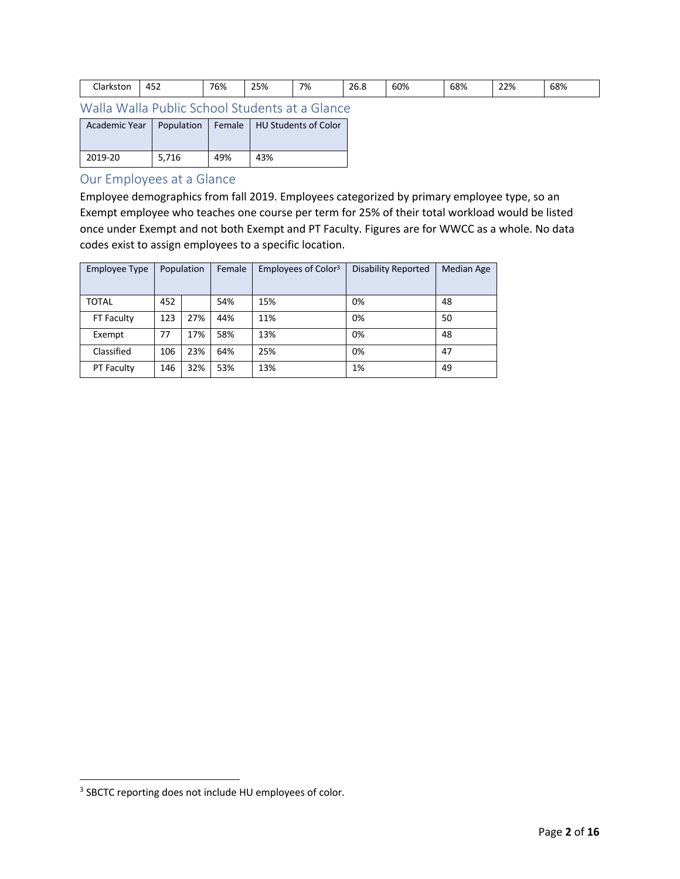| -'<br>Jark:<br>ston | .<br>д,<br>ℸၪ୵ | $\overline{\phantom{a}}$<br>'O% | $\sim$ $\sim$ $\sim$<br><b>2070</b> | 7% | $\sim$ $\sim$<br>26.8 | 60% | 68%<br>- - - | 22% | 68% |
|---------------------|----------------|---------------------------------|-------------------------------------|----|-----------------------|-----|--------------|-----|-----|
|---------------------|----------------|---------------------------------|-------------------------------------|----|-----------------------|-----|--------------|-----|-----|

Walla Walla Public School Students at a Glance

| Academic Year | Population |     | Female   HU Students of Color |
|---------------|------------|-----|-------------------------------|
| 2019-20       | 5.716      | 49% | 43%                           |

#### Our Employees at a Glance

Employee demographics from fall 2019. Employees categorized by primary employee type, so an Exempt employee who teaches one course per term for 25% of their total workload would be listed once under Exempt and not both Exempt and PT Faculty. Figures are for WWCC as a whole. No data codes exist to assign employees to a specific location.

| <b>Employee Type</b> | Population |     | Female | Employees of Color <sup>3</sup> | <b>Disability Reported</b> | <b>Median Age</b> |
|----------------------|------------|-----|--------|---------------------------------|----------------------------|-------------------|
| <b>TOTAL</b>         | 452        |     | 54%    | 15%                             | 0%                         | 48                |
| FT Faculty           | 123        | 27% | 44%    | 11%                             | 0%                         | 50                |
| Exempt               | 77         | 17% | 58%    | 13%                             | 0%                         | 48                |
| Classified           | 106        | 23% | 64%    | 25%                             | 0%                         | 47                |
| PT Faculty           | 146        | 32% | 53%    | 13%                             | 1%                         | 49                |

<sup>3</sup> SBCTC reporting does not include HU employees of color.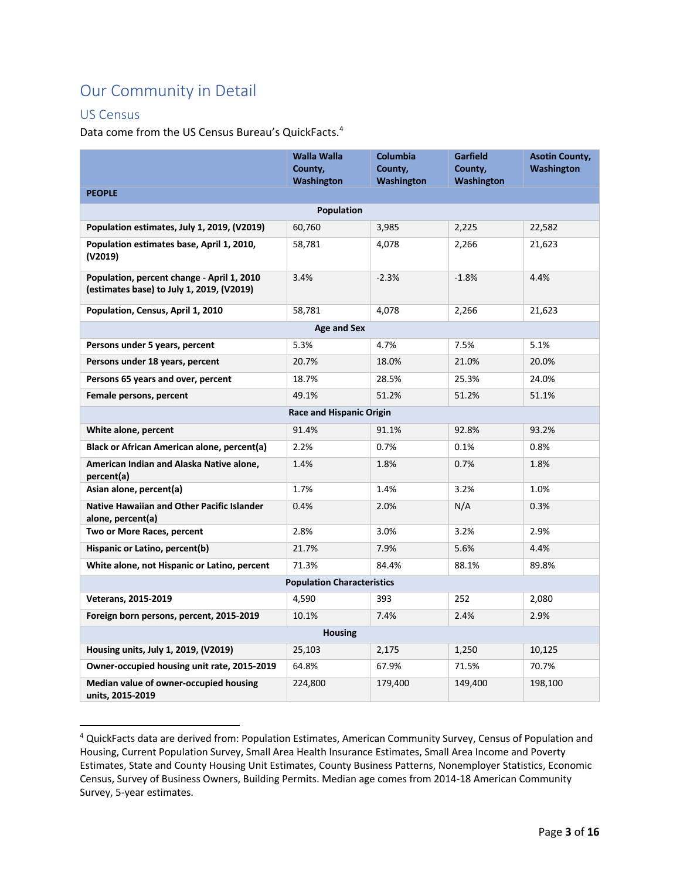## Our Community in Detail

#### US Census

Data come from the US Census Bureau's QuickFacts.<sup>4</sup>

|                                                                                         | <b>Walla Walla</b><br>County,   | Columbia<br>County, | <b>Garfield</b><br>County, | <b>Asotin County,</b><br>Washington |  |  |  |  |  |
|-----------------------------------------------------------------------------------------|---------------------------------|---------------------|----------------------------|-------------------------------------|--|--|--|--|--|
|                                                                                         | Washington                      | Washington          | Washington                 |                                     |  |  |  |  |  |
| <b>PEOPLE</b>                                                                           |                                 |                     |                            |                                     |  |  |  |  |  |
|                                                                                         | Population                      |                     |                            |                                     |  |  |  |  |  |
| Population estimates, July 1, 2019, (V2019)                                             | 60,760                          | 3,985               | 2,225                      | 22,582                              |  |  |  |  |  |
| Population estimates base, April 1, 2010,<br>(V2019)                                    | 58,781                          | 4,078               | 2,266                      | 21,623                              |  |  |  |  |  |
| Population, percent change - April 1, 2010<br>(estimates base) to July 1, 2019, (V2019) | 3.4%                            | $-2.3%$             | $-1.8%$                    | 4.4%                                |  |  |  |  |  |
| Population, Census, April 1, 2010                                                       | 58,781                          | 4,078               | 2,266                      | 21,623                              |  |  |  |  |  |
| <b>Age and Sex</b>                                                                      |                                 |                     |                            |                                     |  |  |  |  |  |
| Persons under 5 years, percent                                                          | 5.3%                            | 4.7%                | 7.5%                       | 5.1%                                |  |  |  |  |  |
| Persons under 18 years, percent                                                         | 20.7%                           | 18.0%               | 21.0%                      | 20.0%                               |  |  |  |  |  |
| Persons 65 years and over, percent                                                      | 18.7%                           | 28.5%               | 25.3%                      | 24.0%                               |  |  |  |  |  |
| Female persons, percent                                                                 | 49.1%                           | 51.2%               | 51.2%                      | 51.1%                               |  |  |  |  |  |
|                                                                                         | <b>Race and Hispanic Origin</b> |                     |                            |                                     |  |  |  |  |  |
| White alone, percent                                                                    | 91.4%                           | 91.1%               | 92.8%                      | 93.2%                               |  |  |  |  |  |
| Black or African American alone, percent(a)                                             | 2.2%                            | 0.7%                | 0.1%                       | $0.8\%$                             |  |  |  |  |  |
| American Indian and Alaska Native alone,<br>percent(a)                                  | 1.4%                            | 1.8%                | 0.7%                       | 1.8%                                |  |  |  |  |  |
| Asian alone, percent(a)                                                                 | 1.7%                            | 1.4%                | 3.2%                       | 1.0%                                |  |  |  |  |  |
| <b>Native Hawaiian and Other Pacific Islander</b><br>alone, percent(a)                  | 0.4%                            | 2.0%                | N/A                        | 0.3%                                |  |  |  |  |  |
| Two or More Races, percent                                                              | 2.8%                            | 3.0%                | 3.2%                       | 2.9%                                |  |  |  |  |  |
| Hispanic or Latino, percent(b)                                                          | 21.7%                           | 7.9%                | 5.6%                       | 4.4%                                |  |  |  |  |  |
| White alone, not Hispanic or Latino, percent                                            | 71.3%                           | 84.4%               | 88.1%                      | 89.8%                               |  |  |  |  |  |
| <b>Population Characteristics</b>                                                       |                                 |                     |                            |                                     |  |  |  |  |  |
| <b>Veterans, 2015-2019</b>                                                              | 4,590                           | 393                 | 252                        | 2,080                               |  |  |  |  |  |
| Foreign born persons, percent, 2015-2019                                                | 10.1%                           | 7.4%                | 2.4%                       | 2.9%                                |  |  |  |  |  |
|                                                                                         | <b>Housing</b>                  |                     |                            |                                     |  |  |  |  |  |
| Housing units, July 1, 2019, (V2019)                                                    | 25,103                          | 2,175               | 1,250                      | 10,125                              |  |  |  |  |  |
| Owner-occupied housing unit rate, 2015-2019                                             | 64.8%                           | 67.9%               | 71.5%                      | 70.7%                               |  |  |  |  |  |
| Median value of owner-occupied housing<br>units, 2015-2019                              | 224,800                         | 179,400             | 149,400                    | 198,100                             |  |  |  |  |  |

<sup>4</sup> QuickFacts data are derived from: Population Estimates, American Community Survey, Census of Population and Housing, Current Population Survey, Small Area Health Insurance Estimates, Small Area Income and Poverty Estimates, State and County Housing Unit Estimates, County Business Patterns, Nonemployer Statistics, Economic Census, Survey of Business Owners, Building Permits. Median age comes from 2014-18 American Community Survey, 5-year estimates.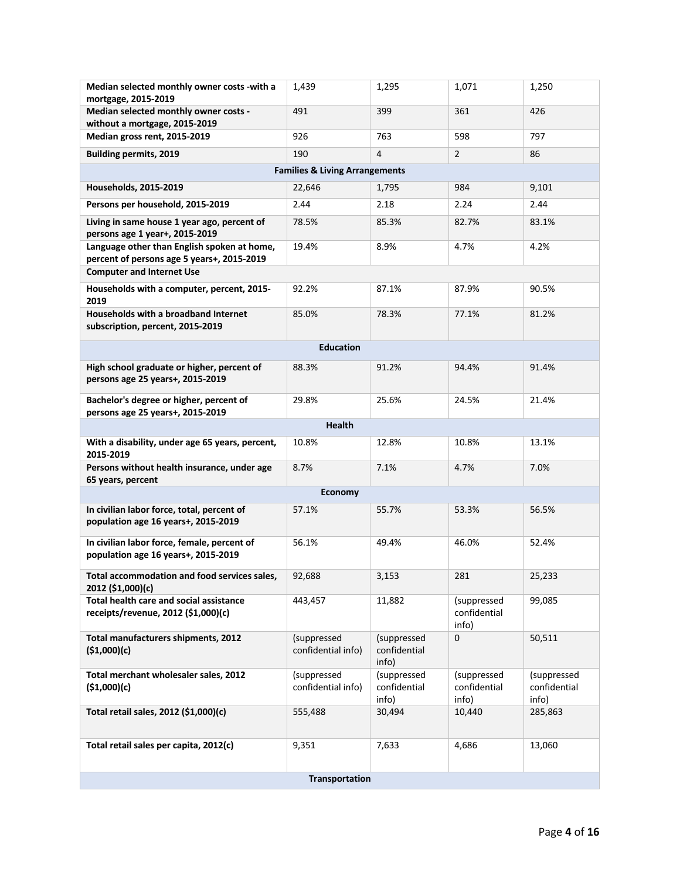| Median selected monthly owner costs -with a<br>mortgage, 2015-2019                        | 1,439                             | 1,295                                | 1,071                                | 1,250                                |  |  |  |  |  |
|-------------------------------------------------------------------------------------------|-----------------------------------|--------------------------------------|--------------------------------------|--------------------------------------|--|--|--|--|--|
| Median selected monthly owner costs -<br>without a mortgage, 2015-2019                    | 491                               | 399                                  | 361                                  | 426                                  |  |  |  |  |  |
| Median gross rent, 2015-2019                                                              | 926                               | 763                                  | 598                                  | 797                                  |  |  |  |  |  |
| <b>Building permits, 2019</b>                                                             | 190                               | $\overline{4}$                       | $\overline{2}$                       | 86                                   |  |  |  |  |  |
| <b>Families &amp; Living Arrangements</b>                                                 |                                   |                                      |                                      |                                      |  |  |  |  |  |
| Households, 2015-2019                                                                     | 22,646                            | 1,795                                | 984                                  | 9,101                                |  |  |  |  |  |
| Persons per household, 2015-2019                                                          | 2.44                              | 2.18                                 | 2.24                                 | 2.44                                 |  |  |  |  |  |
| Living in same house 1 year ago, percent of<br>persons age 1 year+, 2015-2019             | 78.5%                             | 85.3%                                | 82.7%                                | 83.1%                                |  |  |  |  |  |
| Language other than English spoken at home,<br>percent of persons age 5 years+, 2015-2019 | 19.4%                             | 8.9%                                 | 4.7%                                 | 4.2%                                 |  |  |  |  |  |
| <b>Computer and Internet Use</b>                                                          |                                   |                                      |                                      |                                      |  |  |  |  |  |
| Households with a computer, percent, 2015-<br>2019                                        | 92.2%                             | 87.1%                                | 87.9%                                | 90.5%                                |  |  |  |  |  |
| Households with a broadband Internet<br>subscription, percent, 2015-2019                  | 85.0%                             | 78.3%                                | 77.1%                                | 81.2%                                |  |  |  |  |  |
| <b>Education</b>                                                                          |                                   |                                      |                                      |                                      |  |  |  |  |  |
| High school graduate or higher, percent of<br>persons age 25 years+, 2015-2019            | 88.3%                             | 91.2%                                | 94.4%                                | 91.4%                                |  |  |  |  |  |
| Bachelor's degree or higher, percent of<br>persons age 25 years+, 2015-2019               | 29.8%                             | 25.6%                                | 24.5%                                | 21.4%                                |  |  |  |  |  |
| <b>Health</b>                                                                             |                                   |                                      |                                      |                                      |  |  |  |  |  |
| With a disability, under age 65 years, percent,<br>2015-2019                              | 10.8%                             | 12.8%                                | 10.8%                                | 13.1%                                |  |  |  |  |  |
| Persons without health insurance, under age<br>65 years, percent                          | 8.7%                              | 7.1%                                 | 4.7%                                 | 7.0%                                 |  |  |  |  |  |
|                                                                                           | <b>Economy</b>                    |                                      |                                      |                                      |  |  |  |  |  |
| In civilian labor force, total, percent of<br>population age 16 years+, 2015-2019         | 57.1%                             | 55.7%                                | 53.3%                                | 56.5%                                |  |  |  |  |  |
| In civilian labor force, female, percent of<br>population age 16 years+, 2015-2019        | 56.1%                             | 49.4%                                | 46.0%                                | 52.4%                                |  |  |  |  |  |
| Total accommodation and food services sales,<br>2012 (\$1,000)(c)                         | 92,688                            | 3,153                                | 281                                  | 25,233                               |  |  |  |  |  |
| Total health care and social assistance<br>receipts/revenue, 2012 (\$1,000)(c)            | 443,457                           | 11,882                               | (suppressed<br>confidential<br>info) | 99,085                               |  |  |  |  |  |
| Total manufacturers shipments, 2012<br>(\$1,000)(c)                                       | (suppressed<br>confidential info) | (suppressed<br>confidential<br>info) | 0                                    | 50,511                               |  |  |  |  |  |
| Total merchant wholesaler sales, 2012<br>(\$1,000)(c)                                     | (suppressed<br>confidential info) | (suppressed<br>confidential<br>info) | (suppressed<br>confidential<br>info) | (suppressed<br>confidential<br>info) |  |  |  |  |  |
| Total retail sales, 2012 (\$1,000)(c)                                                     | 555,488                           | 30,494                               | 10,440                               | 285,863                              |  |  |  |  |  |
| Total retail sales per capita, 2012(c)                                                    | 9,351                             | 7,633                                | 4,686                                | 13,060                               |  |  |  |  |  |
|                                                                                           | <b>Transportation</b>             |                                      |                                      |                                      |  |  |  |  |  |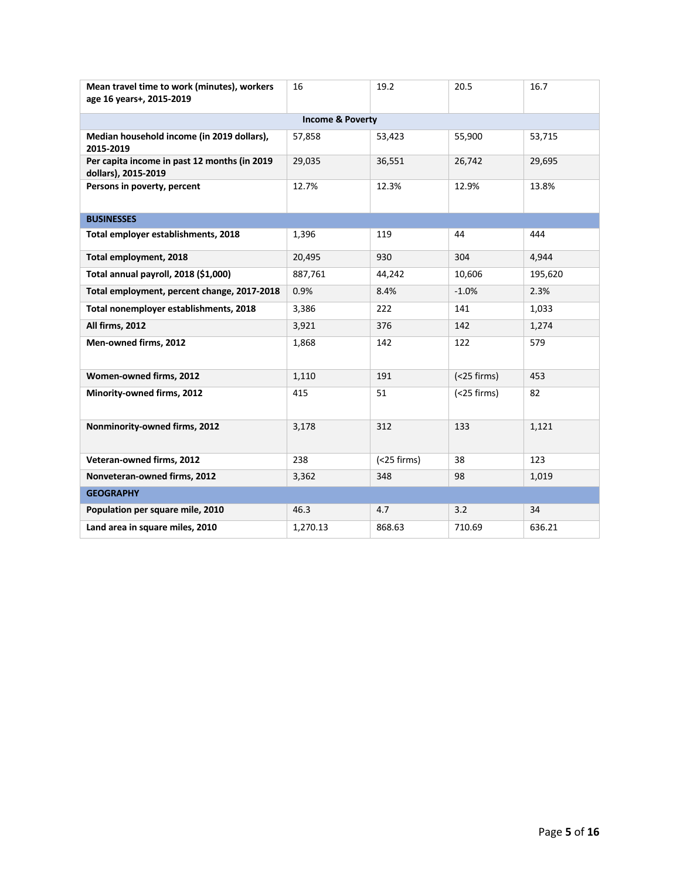| Mean travel time to work (minutes), workers<br>age 16 years+, 2015-2019 | 16                          | 19.2           | 20.5           | 16.7    |
|-------------------------------------------------------------------------|-----------------------------|----------------|----------------|---------|
|                                                                         | <b>Income &amp; Poverty</b> |                |                |         |
| Median household income (in 2019 dollars),<br>2015-2019                 | 57,858                      | 53,423         | 55,900         | 53,715  |
| Per capita income in past 12 months (in 2019<br>dollars), 2015-2019     | 29,035                      | 36,551         | 26,742         | 29,695  |
| Persons in poverty, percent                                             | 12.7%                       | 12.3%          | 12.9%          | 13.8%   |
| <b>BUSINESSES</b>                                                       |                             |                |                |         |
| Total employer establishments, 2018                                     | 1,396                       | 119            | 44             | 444     |
| Total employment, 2018                                                  | 20,495                      | 930            | 304            | 4,944   |
| Total annual payroll, 2018 (\$1,000)                                    | 887,761                     | 44,242         | 10,606         | 195,620 |
| Total employment, percent change, 2017-2018                             | 0.9%                        | 8.4%           | $-1.0%$        | 2.3%    |
| Total nonemployer establishments, 2018                                  | 3,386                       | 222            | 141            | 1,033   |
| All firms, 2012                                                         | 3,921                       | 376            | 142            | 1,274   |
| Men-owned firms, 2012                                                   | 1,868                       | 142            | 122            | 579     |
| Women-owned firms, 2012                                                 | 1,110                       | 191            | $(<$ 25 firms) | 453     |
| Minority-owned firms, 2012                                              | 415                         | 51             | $(<$ 25 firms) | 82      |
| Nonminority-owned firms, 2012                                           | 3,178                       | 312            | 133            | 1,121   |
| Veteran-owned firms, 2012                                               | 238                         | $(<$ 25 firms) | 38             | 123     |
| Nonveteran-owned firms, 2012                                            | 3,362                       | 348            | 98             | 1,019   |
| <b>GEOGRAPHY</b>                                                        |                             |                |                |         |
| Population per square mile, 2010                                        | 46.3                        | 4.7            | 3.2            | 34      |
| Land area in square miles, 2010                                         | 1,270.13                    | 868.63         | 710.69         | 636.21  |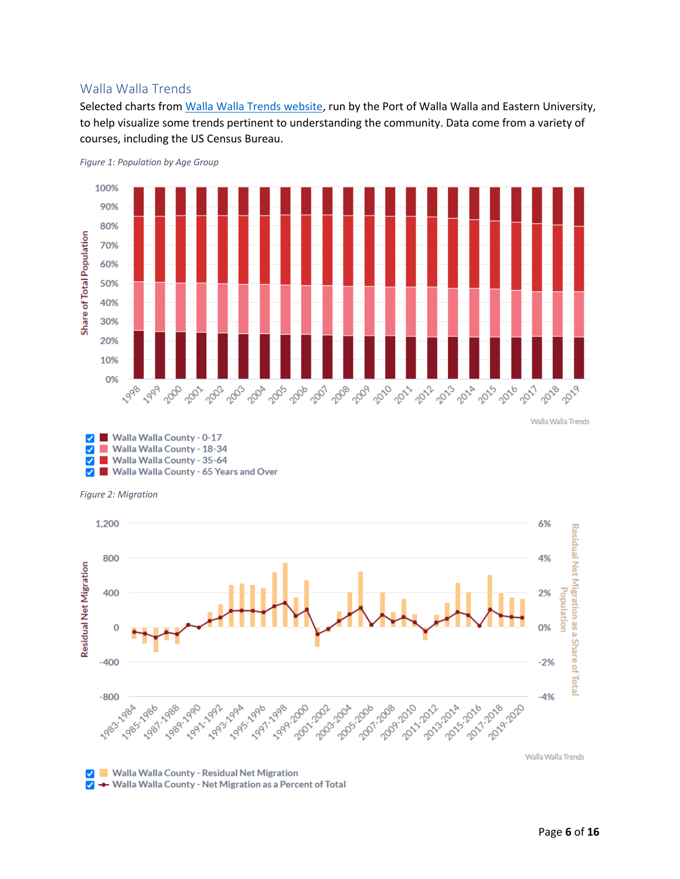#### Walla Walla Trends

Selected charts from Walla Walla Trends website, run by the Port of Walla Walla and Eastern University, to help visualize some trends pertinent to understanding the community. Data come from a variety of courses, including the US Census Bureau.



*Figure 1: Population by Age Group*







V → Walla Walla County - Net Migration as a Percent of Total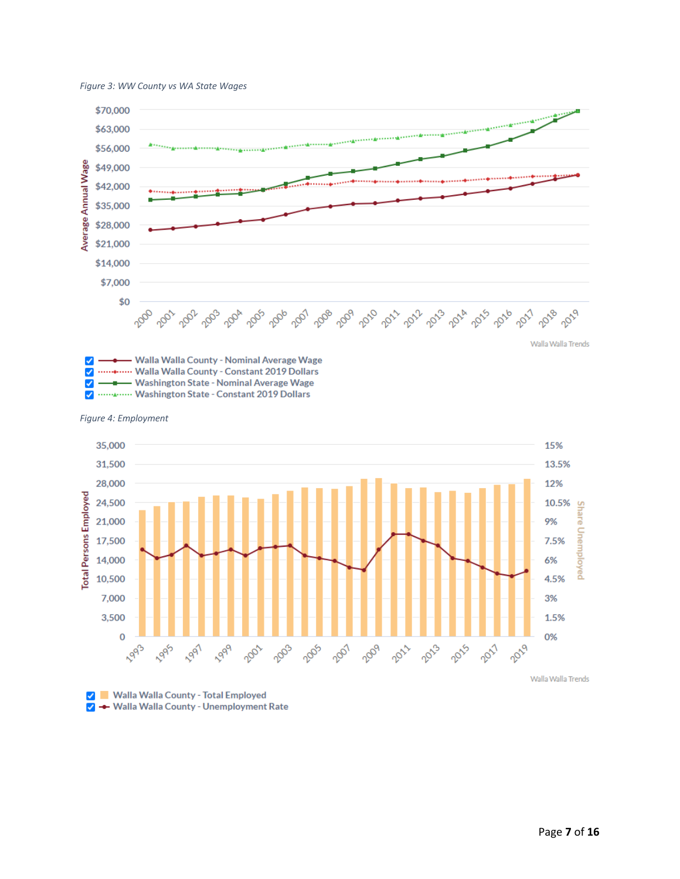



✔ - Washington State - Nominal Average Wage  $\overline{\checkmark}$ ............. Washington State - Constant 2019 Dollars

*Figure 4: Employment*



V Malla Walla County - Total Employed  $\blacktriangledown$ - Walla Walla County - Unemployment Rate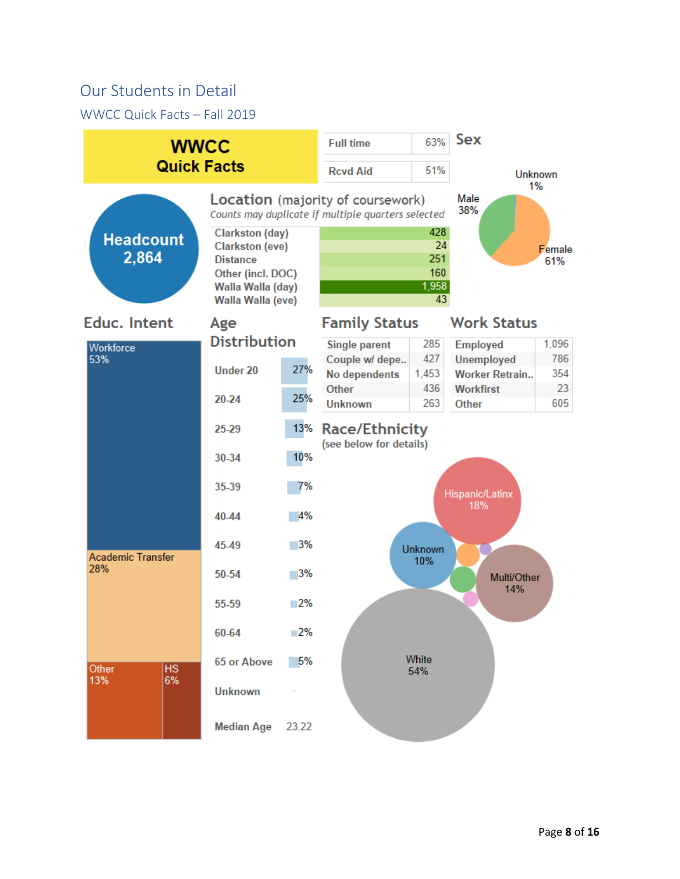### Our Students in Detail

WWCC Quick Facts – Fall 2019

|                           | <b>WWCC</b><br><b>Quick Facts</b>                                                                                                  |       |                                                                                         |                                        | Sex                                        |                      |  |  |
|---------------------------|------------------------------------------------------------------------------------------------------------------------------------|-------|-----------------------------------------------------------------------------------------|----------------------------------------|--------------------------------------------|----------------------|--|--|
|                           |                                                                                                                                    |       | <b>Rcvd Aid</b>                                                                         | 51%                                    |                                            | <b>Unknown</b><br>1% |  |  |
|                           |                                                                                                                                    |       | Location (majority of coursework)<br>Counts may duplicate if multiple quarters selected |                                        | Male<br>38%                                |                      |  |  |
| <b>Headcount</b><br>2,864 | <b>Clarkston (day)</b><br><b>Clarkston (eve)</b><br><b>Distance</b><br>Other (incl. DOC)<br>Walla Walla (day)<br>Walla Walla (eve) |       |                                                                                         | 428<br>24<br>251<br>160<br>1,958<br>43 | Female<br>61%                              |                      |  |  |
| <b>Educ. Intent</b>       | Age                                                                                                                                |       | <b>Family Status</b>                                                                    |                                        | <b>Work Status</b>                         |                      |  |  |
| Workforce                 | <b>Distribution</b>                                                                                                                |       | <b>Single parent</b>                                                                    | 285                                    | <b>Employed</b>                            | 1,096                |  |  |
| 53%                       | <b>Under 20</b>                                                                                                                    | 27%   | Couple w/ depe<br>No dependents                                                         | 427<br>1,453                           | <b>Unemployed</b><br><b>Worker Retrain</b> | 786<br>354           |  |  |
|                           | $20 - 24$                                                                                                                          | 25%   | Other<br><b>Unknown</b>                                                                 | 436<br>263                             | <b>Workfirst</b><br>Other                  | 23<br>605            |  |  |
|                           | $25 - 29$                                                                                                                          | 13%   | <b>Race/Ethnicity</b><br>(see below for details)                                        |                                        |                                            |                      |  |  |
|                           | 30-34                                                                                                                              | 10%   |                                                                                         |                                        |                                            |                      |  |  |
|                           | 35-39                                                                                                                              | 7%    |                                                                                         |                                        | Hispanic/Latinx                            |                      |  |  |
|                           | 40-44                                                                                                                              | 4%    |                                                                                         |                                        | 18%                                        |                      |  |  |
| <b>Academic Transfer</b>  | 45-49                                                                                                                              | - 3%  |                                                                                         | <b>Unknown</b><br>10%                  |                                            |                      |  |  |
| 28%                       | 50-54                                                                                                                              | - 3%  |                                                                                         |                                        | Multi/Other                                |                      |  |  |
|                           | 55-59                                                                                                                              | $-2%$ |                                                                                         |                                        | 14%                                        |                      |  |  |
|                           | 60-64                                                                                                                              | $-2%$ |                                                                                         |                                        |                                            |                      |  |  |
| Other<br><b>HS</b><br>6%  | 65 or Above                                                                                                                        | 5%    |                                                                                         | White<br>54%                           |                                            |                      |  |  |
| 13%                       | <b>Unknown</b>                                                                                                                     |       |                                                                                         |                                        |                                            |                      |  |  |
|                           | <b>Median Age</b>                                                                                                                  | 23.22 |                                                                                         |                                        |                                            |                      |  |  |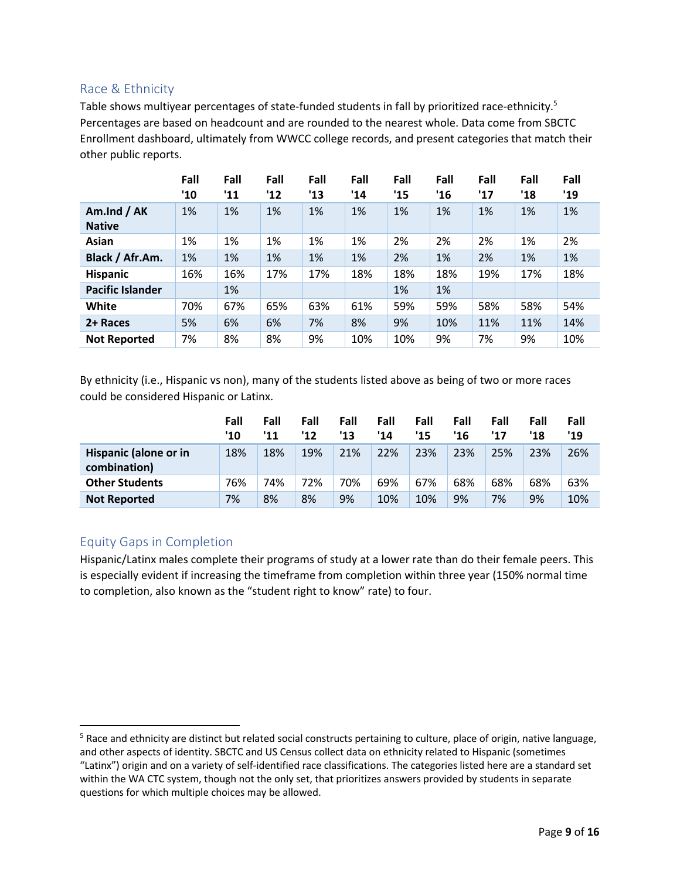#### Race & Ethnicity

Table shows multiyear percentages of state-funded students in fall by prioritized race-ethnicity.<sup>5</sup> Percentages are based on headcount and are rounded to the nearest whole. Data come from SBCTC Enrollment dashboard, ultimately from WWCC college records, and present categories that match their other public reports.

|                              | Fall<br>'10 | Fall<br>'11 | Fall<br>'12 | Fall<br>'13 | Fall<br>'14 | Fall<br>'15 | Fall<br>'16 | Fall<br>'17 | Fall<br>'18 | Fall<br>'19 |
|------------------------------|-------------|-------------|-------------|-------------|-------------|-------------|-------------|-------------|-------------|-------------|
| Am.Ind / AK<br><b>Native</b> | 1%          | 1%          | 1%          | 1%          | 1%          | 1%          | 1%          | 1%          | 1%          | 1%          |
| Asian                        | 1%          | 1%          | 1%          | 1%          | 1%          | 2%          | 2%          | 2%          | 1%          | 2%          |
| Black / Afr.Am.              | 1%          | 1%          | 1%          | 1%          | 1%          | 2%          | 1%          | 2%          | 1%          | 1%          |
| <b>Hispanic</b>              | 16%         | 16%         | 17%         | 17%         | 18%         | 18%         | 18%         | 19%         | 17%         | 18%         |
| <b>Pacific Islander</b>      |             | 1%          |             |             |             | 1%          | 1%          |             |             |             |
| White                        | 70%         | 67%         | 65%         | 63%         | 61%         | 59%         | 59%         | 58%         | 58%         | 54%         |
| 2+ Races                     | 5%          | 6%          | 6%          | 7%          | 8%          | 9%          | 10%         | 11%         | 11%         | 14%         |
| <b>Not Reported</b>          | 7%          | 8%          | 8%          | 9%          | 10%         | 10%         | 9%          | 7%          | 9%          | 10%         |

By ethnicity (i.e., Hispanic vs non), many of the students listed above as being of two or more races could be considered Hispanic or Latinx.

|                                       | Fall<br>'10 | Fall<br>'11 | Fall<br>'12 | Fall<br>'13 | Fall<br>'14 | Fall<br>'15 | Fall<br>'16 | Fall<br>'17 | Fall<br>'18 | Fall<br>'19 |
|---------------------------------------|-------------|-------------|-------------|-------------|-------------|-------------|-------------|-------------|-------------|-------------|
| Hispanic (alone or in<br>combination) | 18%         | 18%         | 19%         | 21%         | 22%         | 23%         | 23%         | 25%         | 23%         | 26%         |
| <b>Other Students</b>                 | 76%         | 74%         | 72%         | 70%         | 69%         | 67%         | 68%         | 68%         | 68%         | 63%         |
| <b>Not Reported</b>                   | 7%          | 8%          | 8%          | 9%          | 10%         | 10%         | 9%          | 7%          | 9%          | 10%         |

#### Equity Gaps in Completion

Hispanic/Latinx males complete their programs of study at a lower rate than do their female peers. This is especially evident if increasing the timeframe from completion within three year (150% normal time to completion, also known as the "student right to know" rate) to four.

<sup>&</sup>lt;sup>5</sup> Race and ethnicity are distinct but related social constructs pertaining to culture, place of origin, native language, and other aspects of identity. SBCTC and US Census collect data on ethnicity related to Hispanic (sometimes "Latinx") origin and on a variety of self-identified race classifications. The categories listed here are a standard set within the WA CTC system, though not the only set, that prioritizes answers provided by students in separate questions for which multiple choices may be allowed.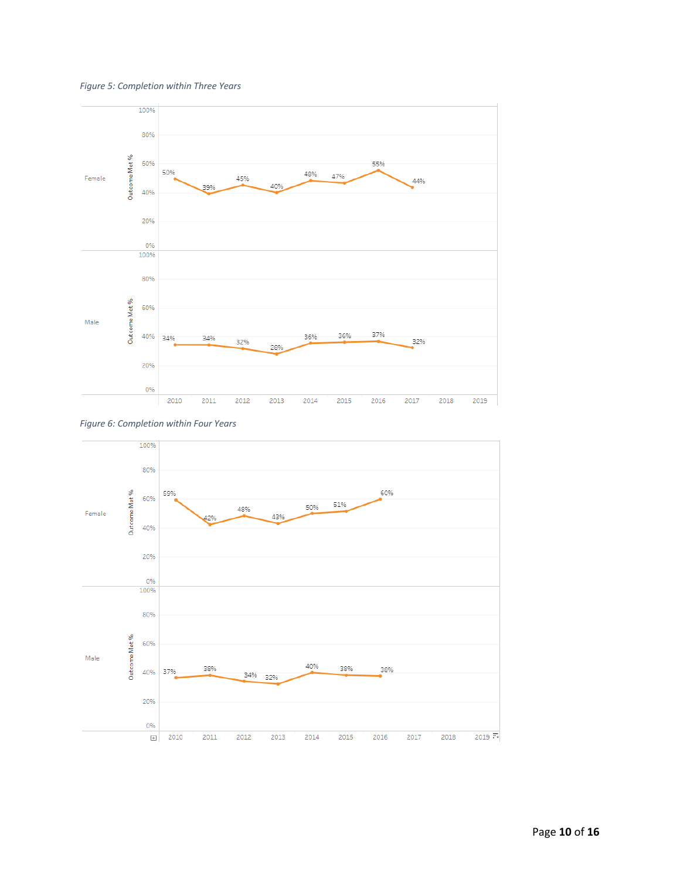





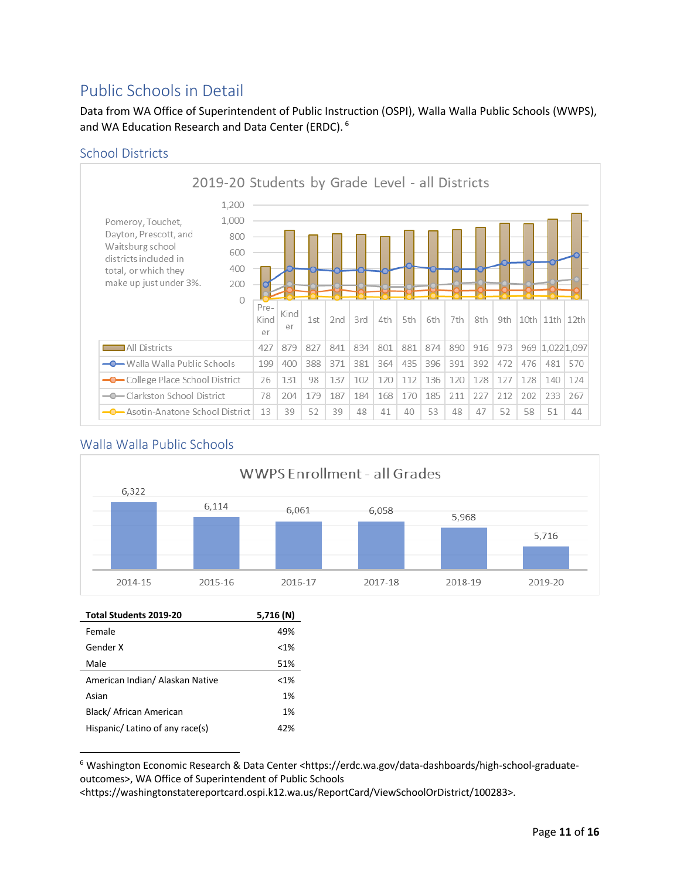### Public Schools in Detail

Data from WA Office of Superintendent of Public Instruction (OSPI), Walla Walla Public Schools (WWPS), and WA Education Research and Data Center (ERDC). <sup>6</sup>

#### School Districts



#### Walla Walla Public Schools



| Total Students 2019-20          | 5,716 (N) |
|---------------------------------|-----------|
| Female                          | 49%       |
| Gender X                        | < 1%      |
| Male                            | 51%       |
| American Indian/ Alaskan Native | $< 1\%$   |
| Asian                           | 1%        |
| Black/ African American         | 1%        |
| Hispanic/ Latino of any race(s) | 42%       |
|                                 |           |

<sup>6</sup> Washington Economic Research & Data Center <https://erdc.wa.gov/data-dashboards/high-school-graduateoutcomes>, WA Office of Superintendent of Public Schools

<https://washingtonstatereportcard.ospi.k12.wa.us/ReportCard/ViewSchoolOrDistrict/100283>.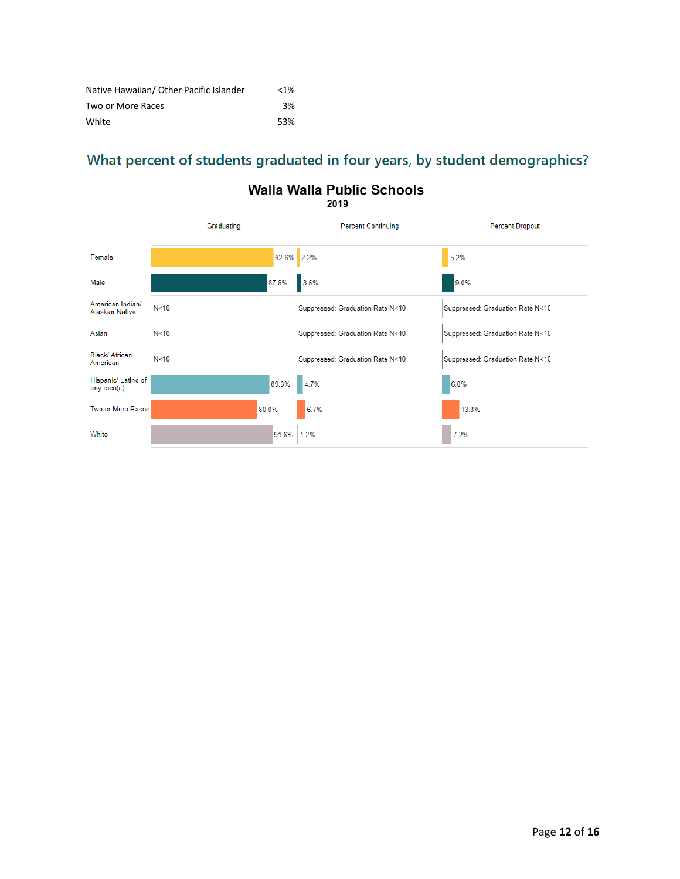| Native Hawaiian/ Other Pacific Islander | $< 1\%$ |
|-----------------------------------------|---------|
| Two or More Races                       | 3%      |
| White                                   | 53%     |

## What percent of students graduated in four years, by student demographics?

## Walla Walla Public Schools

|                                    | Graduating |            | <b>Percent Continuing</b>        | <b>Percent Dropout</b>           |
|------------------------------------|------------|------------|----------------------------------|----------------------------------|
| Female                             |            | 92.6% 2.2% |                                  | 5.2%                             |
| Male                               |            | 87.6%      | 3.5%                             | 9.0%                             |
| American Indian/<br>Alaskan Native | N<10       |            | Suppressed: Graduation Rate N<10 | Suppressed: Graduation Rate N<10 |
| Asian                              | N<10       |            | Suppressed: Graduation Rate N<10 | Suppressed: Graduation Rate N<10 |
| Black/ African<br>American         | N<10       |            | Suppressed: Graduation Rate N<10 | Suppressed: Graduation Rate N<10 |
| Hispanic/ Latino of<br>any race(s) |            | 89.3%      | 4.7%                             | 6.0%                             |
| Two or More Races                  | 80.0%      |            | 6.7%                             | 13.3%                            |
| White                              |            | 91.6%      | 1.2%                             | 7.2%                             |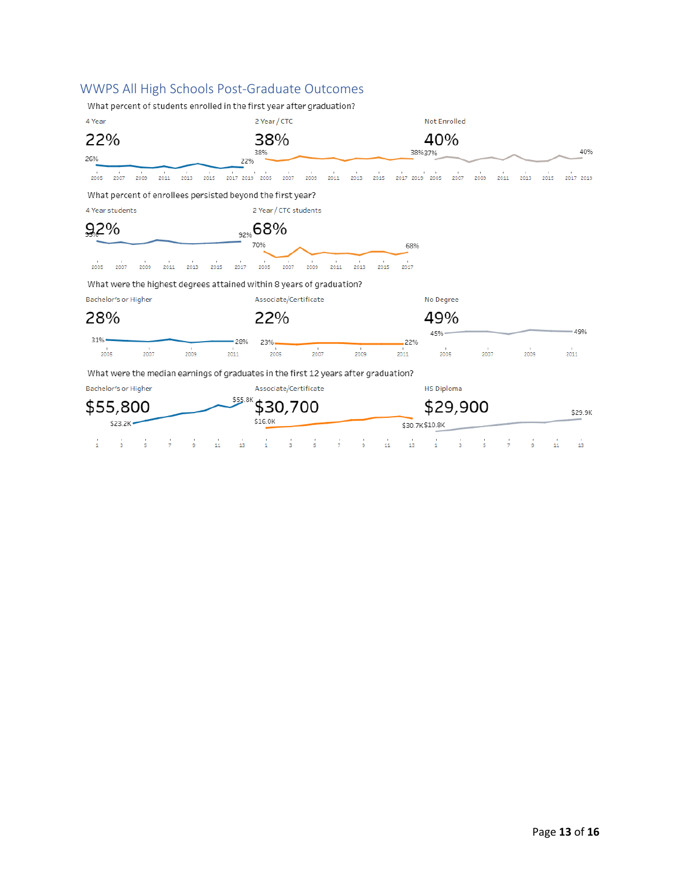#### WWPS All High Schools Post-Graduate Outcomes

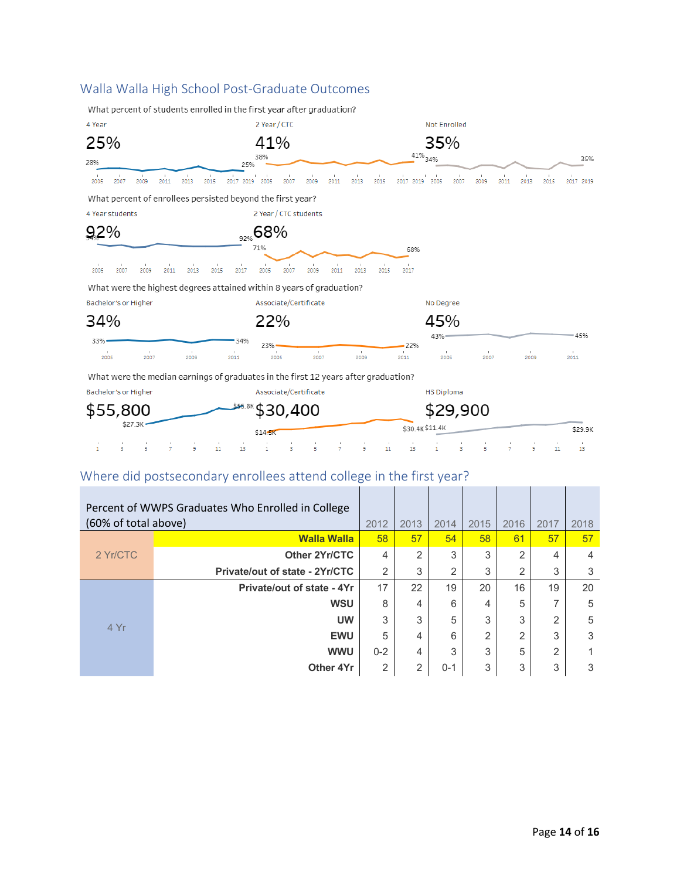#### Walla Walla High School Post-Graduate Outcomes





## Where did postsecondary enrollees attend college in the first year?

| Percent of WWPS Graduates Who Enrolled in College<br>(60% of total above) |                                   | 2012    | 2013           | 2014    | 2015 | 2016 | 2017           | 2018 |
|---------------------------------------------------------------------------|-----------------------------------|---------|----------------|---------|------|------|----------------|------|
|                                                                           | <b>Walla Walla</b>                | 58      | 57             | 54      | 58   | 61   | 57             | 57   |
| 2 Yr/CTC                                                                  | Other 2Yr/CTC                     | 4       | 2              | 3       | 3    | 2    | 4              | 4    |
|                                                                           | Private/out of state - 2Yr/CTC    | 2       | 3              | 2       | 3    | 2    | 3              | 3    |
|                                                                           | <b>Private/out of state - 4Yr</b> | 17      | 22             | 19      | 20   | 16   | 19             | 20   |
|                                                                           | <b>WSU</b>                        | 8       | 4              | 6       | 4    | 5    | 7              | 5    |
| 4 Yr                                                                      | <b>UW</b>                         | 3       | 3              | 5       | 3    | 3    | 2              | 5    |
|                                                                           | <b>EWU</b>                        | 5       | 4              | 6       | 2    | っ    | 3              | 3    |
|                                                                           | <b>WWU</b>                        | $0 - 2$ | 4              | 3       | 3    | 5    | $\overline{2}$ |      |
|                                                                           | Other 4Yr                         | 2       | $\overline{2}$ | $0 - 1$ | 3    | 3    | 3              | 3    |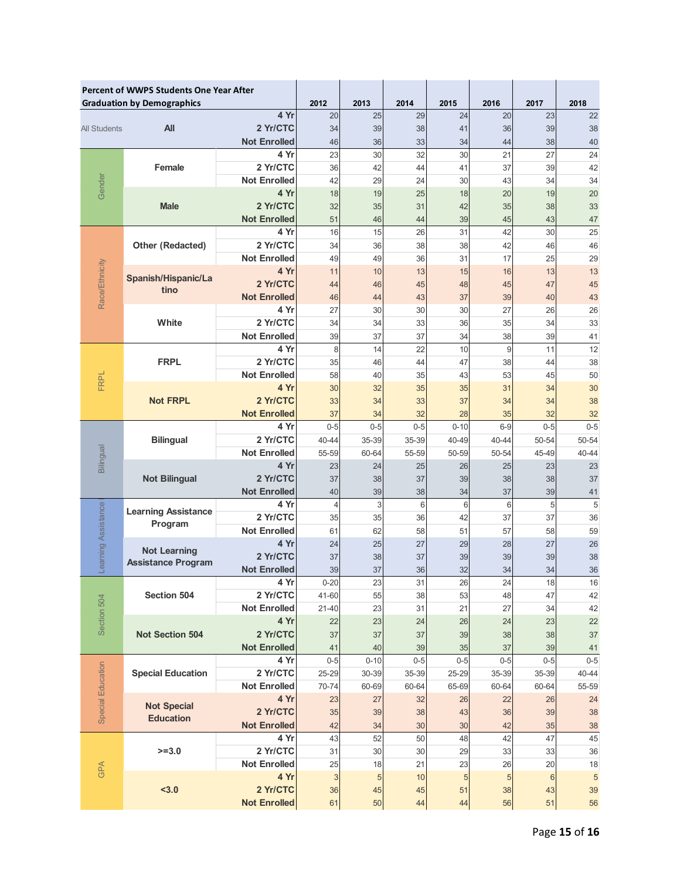|                                   | <b>Percent of WWPS Students One Year After</b><br><b>Graduation by Demographics</b> |                             | 2012                 | 2013     | 2014     | 2015     | 2016      | 2017     | 2018       |
|-----------------------------------|-------------------------------------------------------------------------------------|-----------------------------|----------------------|----------|----------|----------|-----------|----------|------------|
| 4 Yr                              |                                                                                     | 20                          | 25                   | 29       | 24       | 20       | 23        | 22       |            |
| All<br><b>All Students</b>        |                                                                                     | 2 Yr/CTC                    | 34                   | 39       | 38       | 41       | 36        | 39       | 38         |
|                                   |                                                                                     | <b>Not Enrolled</b>         | 46                   | 36       | 33       | 34       | 44        | 38       | 40         |
|                                   |                                                                                     | 4 Yr                        | 23                   | 30       | 32       | 30       | 21        | 27       | 24         |
|                                   | Female                                                                              | 2 Yr/CTC                    | 36                   | 42       | 44       | 41       | 37        | 39       | 42         |
| Gender                            |                                                                                     | <b>Not Enrolled</b>         | 42                   | 29       | 24       | 30       | 43        | 34       | 34         |
|                                   |                                                                                     | 4 Yr                        | 18                   | 19       | 25       | 18       | 20        | 19       | 20         |
|                                   | <b>Male</b>                                                                         | 2 Yr/CTC                    | 32                   | 35       | 31       | 42       | 35        | 38       | 33         |
|                                   |                                                                                     | <b>Not Enrolled</b>         | 51                   | 46       | 44       | 39       | 45        | 43       | 47         |
|                                   |                                                                                     | 4 Yr                        | 16                   | 15       | 26       | 31       | 42        | 30       | 25         |
|                                   | <b>Other (Redacted)</b>                                                             | 2 Yr/CTC                    | 34                   | 36       | 38       | 38       | 42        | 46       | 46         |
|                                   |                                                                                     | <b>Not Enrolled</b>         | 49                   | 49       | 36       | 31       | 17        | 25       | 29         |
|                                   | Spanish/Hispanic/La                                                                 | 4 Yr                        | 11                   | 10       | 13       | 15       | 16        | 13       | 13         |
|                                   | tino                                                                                | 2 Yr/CTC                    | 44                   | 46       | 45       | 48       | 45        | 47       | 45         |
| Race/Ethnicity                    |                                                                                     | <b>Not Enrolled</b>         | 46                   | 44       | 43       | 37       | 39        | 40       | 43         |
|                                   | White                                                                               | 4 Yr<br>2 Yr/CTC            | 27<br>34             | 30<br>34 | 30<br>33 | 30<br>36 | 27<br>35  | 26<br>34 | 26<br>33   |
|                                   |                                                                                     | <b>Not Enrolled</b>         | 39                   | 37       | 37       | 34       | 38        | 39       | 41         |
|                                   |                                                                                     | 4 Yr                        | 8                    | 14       | 22       | 10       | 9         | 11       | 12         |
|                                   | <b>FRPL</b>                                                                         | 2 Yr/CTC                    | 35                   | 46       | 44       | 47       | 38        | 44       | 38         |
|                                   |                                                                                     | <b>Not Enrolled</b>         | 58                   | 40       | 35       | 43       | 53        | 45       | 50         |
| <b>FRPL</b>                       | <b>Not FRPL</b>                                                                     | 4 Yr                        | 30                   | 32       | 35       | 35       | 31        | 34       | 30         |
|                                   |                                                                                     | 2 Yr/CTC                    | 33                   | 34       | 33       | 37       | 34        | 34       | 38         |
|                                   |                                                                                     | <b>Not Enrolled</b>         | 37                   | 34       | 32       | 28       | 35        | 32       | 32         |
|                                   |                                                                                     | 4 Yr                        | $0 - 5$              | $0 - 5$  | $0 - 5$  | $0 - 10$ | $6-9$     | $0 - 5$  | $0 - 5$    |
|                                   | <b>Bilingual</b>                                                                    | 2 Yr/CTC                    | 40-44                | 35-39    | 35-39    | 40-49    | $40 - 44$ | 50-54    | 50-54      |
| Bilingual<br><b>Not Bilingual</b> |                                                                                     | <b>Not Enrolled</b>         | 55-59                | 60-64    | 55-59    | 50-59    | 50-54     | 45-49    | 40-44      |
|                                   |                                                                                     | 4 Yr                        | 23                   | 24       | 25       | 26       | 25        | 23       | 23         |
|                                   |                                                                                     | 2 Yr/CTC                    | 37                   | 38       | 37       | 39       | 38        | 38       | 37         |
|                                   |                                                                                     | <b>Not Enrolled</b><br>4 Yr | 40                   | 39<br>3  | 38<br>6  | 34<br>6  | 37        | 39<br>5  | 41<br>5    |
|                                   | <b>Learning Assistance</b>                                                          | 2 Yr/CTC                    | $\overline{4}$<br>35 | 35       | 36       | 42       | 6<br>37   | 37       | 36         |
|                                   | Program                                                                             | <b>Not Enrolled</b>         | 61                   | 62       | 58       | 51       | 57        | 58       | 59         |
|                                   |                                                                                     | 4 Yr                        | 24                   | 25       | 27       | 29       | 28        | 27       | 26         |
| earning Assistance                | <b>Not Learning</b>                                                                 | 2 Yr/CTC                    | 37                   | 38       | 37       | 39       | 39        | 39       | 38         |
|                                   | <b>Assistance Program</b>                                                           | <b>Not Enrolled</b>         | 39                   | 37       | 36       | 32       | 34        | 34       | 36         |
|                                   |                                                                                     | 4 Yr                        | $0 - 20$             | 23       | 31       | 26       | 24        | 18       | 16         |
|                                   | Section 504                                                                         | 2 Yr/CTC                    | 41-60                | 55       | 38       | 53       | 48        | 47       | 42         |
| Section 504                       |                                                                                     | <b>Not Enrolled</b>         | $21 - 40$            | 23       | 31       | 21       | 27        | 34       | 42         |
|                                   |                                                                                     | 4 Yr                        | 22                   | 23       | 24       | 26       | 24        | 23       | 22         |
|                                   | <b>Not Section 504</b>                                                              | 2 Yr/CTC                    | 37                   | 37       | 37       | 39       | 38        | 38       | 37         |
|                                   |                                                                                     | <b>Not Enrolled</b>         | 41                   | 40       | 39       | 35       | 37        | 39       | 41         |
|                                   |                                                                                     | 4 Yr                        | $0 - 5$              | $0 - 10$ | $0 - 5$  | $0 - 5$  | $0 - 5$   | $0 - 5$  | $0 - 5$    |
| Special Education                 | <b>Special Education</b>                                                            | 2 Yr/CTC                    | $25 - 29$            | 30-39    | 35-39    | 25-29    | 35-39     | 35-39    | 40-44      |
|                                   |                                                                                     | <b>Not Enrolled</b><br>4 Yr | 70-74                | 60-69    | 60-64    | 65-69    | 60-64     | 60-64    | 55-59      |
|                                   | <b>Not Special</b>                                                                  | 2 Yr/CTC                    | 23<br>35             | 27<br>39 | 32<br>38 | 26<br>43 | 22<br>36  | 26<br>39 | 24<br>38   |
|                                   | <b>Education</b>                                                                    | <b>Not Enrolled</b>         | 42                   | 34       | 30       | 30       | 42        | 35       | 38         |
|                                   |                                                                                     | 4 Yr                        | 43                   | 52       | 50       | 48       | 42        | 47       | 45         |
|                                   | $>=3.0$                                                                             | 2 Yr/CTC                    | 31                   | 30       | 30       | 29       | 33        | 33       | 36         |
|                                   |                                                                                     | <b>Not Enrolled</b>         | 25                   | 18       | 21       | 23       | 26        | 20       | 18         |
| GPA                               |                                                                                     | 4 Yr                        | 3                    | 5        | 10       | 5        | 5         | 6        | $\sqrt{5}$ |
|                                   | $3.0$                                                                               | 2 Yr/CTC                    | 36                   | 45       | 45       | 51       | 38        | 43       | 39         |
|                                   |                                                                                     | <b>Not Enrolled</b>         | 61                   | 50       | 44       | 44       | 56        | 51       | 56         |